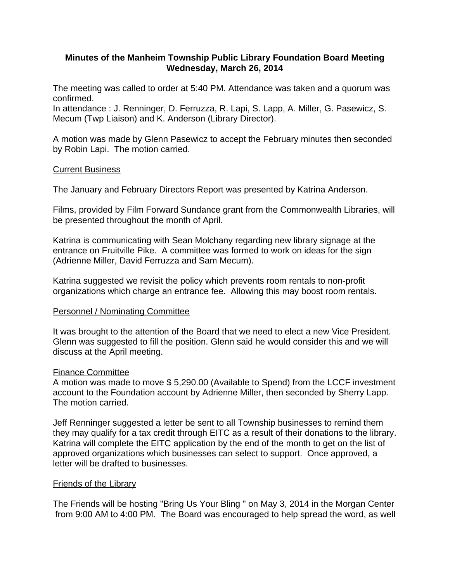# **Minutes of the Manheim Township Public Library Foundation Board Meeting Wednesday, March 26, 2014**

The meeting was called to order at 5:40 PM. Attendance was taken and a quorum was confirmed.

In attendance : J. Renninger, D. Ferruzza, R. Lapi, S. Lapp, A. Miller, G. Pasewicz, S. Mecum (Twp Liaison) and K. Anderson (Library Director).

A motion was made by Glenn Pasewicz to accept the February minutes then seconded by Robin Lapi. The motion carried.

# Current Business

The January and February Directors Report was presented by Katrina Anderson.

Films, provided by Film Forward Sundance grant from the Commonwealth Libraries, will be presented throughout the month of April.

Katrina is communicating with Sean Molchany regarding new library signage at the entrance on Fruitville Pike. A committee was formed to work on ideas for the sign (Adrienne Miller, David Ferruzza and Sam Mecum).

Katrina suggested we revisit the policy which prevents room rentals to non-profit organizations which charge an entrance fee. Allowing this may boost room rentals.

### Personnel / Nominating Committee

It was brought to the attention of the Board that we need to elect a new Vice President. Glenn was suggested to fill the position. Glenn said he would consider this and we will discuss at the April meeting.

### Finance Committee

A motion was made to move \$ 5,290.00 (Available to Spend) from the LCCF investment account to the Foundation account by Adrienne Miller, then seconded by Sherry Lapp. The motion carried.

Jeff Renninger suggested a letter be sent to all Township businesses to remind them they may qualify for a tax credit through EITC as a result of their donations to the library. Katrina will complete the EITC application by the end of the month to get on the list of approved organizations which businesses can select to support. Once approved, a letter will be drafted to businesses.

### Friends of the Library

The Friends will be hosting "Bring Us Your Bling " on May 3, 2014 in the Morgan Center from 9:00 AM to 4:00 PM. The Board was encouraged to help spread the word, as well